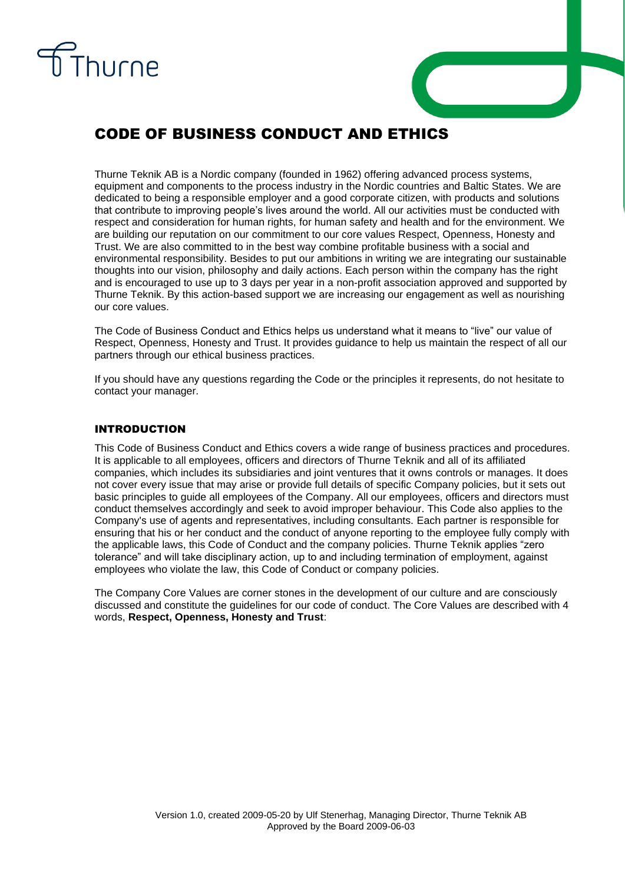



# CODE OF BUSINESS CONDUCT AND ETHICS

Thurne Teknik AB is a Nordic company (founded in 1962) offering advanced process systems, equipment and components to the process industry in the Nordic countries and Baltic States. We are dedicated to being a responsible employer and a good corporate citizen, with products and solutions that contribute to improving people's lives around the world. All our activities must be conducted with respect and consideration for human rights, for human safety and health and for the environment. We are building our reputation on our commitment to our core values Respect, Openness, Honesty and Trust. We are also committed to in the best way combine profitable business with a social and environmental responsibility. Besides to put our ambitions in writing we are integrating our sustainable thoughts into our vision, philosophy and daily actions. Each person within the company has the right and is encouraged to use up to 3 days per year in a non-profit association approved and supported by Thurne Teknik. By this action-based support we are increasing our engagement as well as nourishing our core values.

The Code of Business Conduct and Ethics helps us understand what it means to "live" our value of Respect, Openness, Honesty and Trust. It provides guidance to help us maintain the respect of all our partners through our ethical business practices.

If you should have any questions regarding the Code or the principles it represents, do not hesitate to contact your manager.

## INTRODUCTION

This Code of Business Conduct and Ethics covers a wide range of business practices and procedures. It is applicable to all employees, officers and directors of Thurne Teknik and all of its affiliated companies, which includes its subsidiaries and joint ventures that it owns controls or manages. It does not cover every issue that may arise or provide full details of specific Company policies, but it sets out basic principles to guide all employees of the Company. All our employees, officers and directors must conduct themselves accordingly and seek to avoid improper behaviour. This Code also applies to the Company's use of agents and representatives, including consultants. Each partner is responsible for ensuring that his or her conduct and the conduct of anyone reporting to the employee fully comply with the applicable laws, this Code of Conduct and the company policies. Thurne Teknik applies "zero tolerance" and will take disciplinary action, up to and including termination of employment, against employees who violate the law, this Code of Conduct or company policies.

The Company Core Values are corner stones in the development of our culture and are consciously discussed and constitute the guidelines for our code of conduct. The Core Values are described with 4 words, **Respect, Openness, Honesty and Trust**: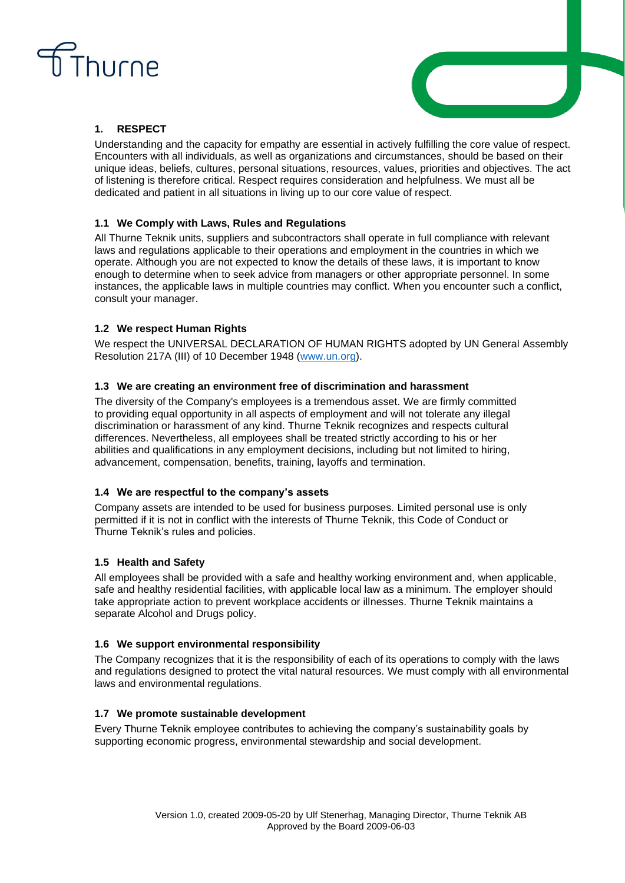



## **1. RESPECT**

Understanding and the capacity for empathy are essential in actively fulfilling the core value of respect. Encounters with all individuals, as well as organizations and circumstances, should be based on their unique ideas, beliefs, cultures, personal situations, resources, values, priorities and objectives. The act of listening is therefore critical. Respect requires consideration and helpfulness. We must all be dedicated and patient in all situations in living up to our core value of respect.

## **1.1 We Comply with Laws, Rules and Regulations**

All Thurne Teknik units, suppliers and subcontractors shall operate in full compliance with relevant laws and regulations applicable to their operations and employment in the countries in which we operate. Although you are not expected to know the details of these laws, it is important to know enough to determine when to seek advice from managers or other appropriate personnel. In some instances, the applicable laws in multiple countries may conflict. When you encounter such a conflict, consult your manager.

## **1.2 We respect Human Rights**

We respect the UNIVERSAL DECLARATION OF HUMAN RIGHTS adopted by UN General Assembly Resolution 217A (III) of 10 December 1948 [\(www.un.org\)](http://www.un.org/).

#### **1.3 We are creating an environment free of discrimination and harassment**

The diversity of the Company's employees is a tremendous asset. We are firmly committed to providing equal opportunity in all aspects of employment and will not tolerate any illegal discrimination or harassment of any kind. Thurne Teknik recognizes and respects cultural differences. Nevertheless, all employees shall be treated strictly according to his or her abilities and qualifications in any employment decisions, including but not limited to hiring, advancement, compensation, benefits, training, layoffs and termination.

## **1.4 We are respectful to the company's assets**

Company assets are intended to be used for business purposes. Limited personal use is only permitted if it is not in conflict with the interests of Thurne Teknik, this Code of Conduct or Thurne Teknik's rules and policies.

## **1.5 Health and Safety**

All employees shall be provided with a safe and healthy working environment and, when applicable, safe and healthy residential facilities, with applicable local law as a minimum. The employer should take appropriate action to prevent workplace accidents or illnesses. Thurne Teknik maintains a separate Alcohol and Drugs policy.

#### **1.6 We support environmental responsibility**

The Company recognizes that it is the responsibility of each of its operations to comply with the laws and regulations designed to protect the vital natural resources. We must comply with all environmental laws and environmental regulations.

## **1.7 We promote sustainable development**

Every Thurne Teknik employee contributes to achieving the company's sustainability goals by supporting economic progress, environmental stewardship and social development.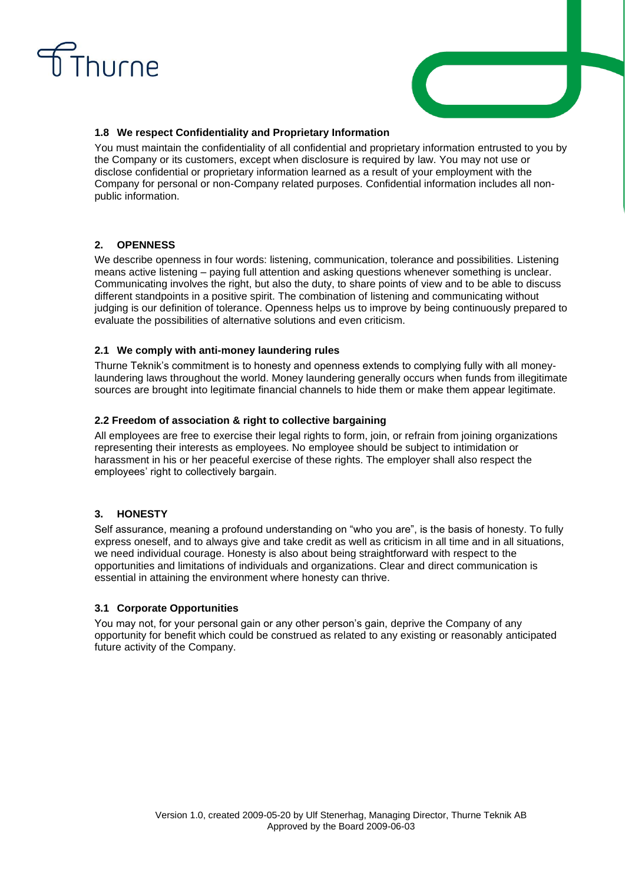



#### **1.8 We respect Confidentiality and Proprietary Information**

You must maintain the confidentiality of all confidential and proprietary information entrusted to you by the Company or its customers, except when disclosure is required by law. You may not use or disclose confidential or proprietary information learned as a result of your employment with the Company for personal or non-Company related purposes. Confidential information includes all nonpublic information.

## **2. OPENNESS**

We describe openness in four words: listening, communication, tolerance and possibilities. Listening means active listening – paying full attention and asking questions whenever something is unclear. Communicating involves the right, but also the duty, to share points of view and to be able to discuss different standpoints in a positive spirit. The combination of listening and communicating without judging is our definition of tolerance. Openness helps us to improve by being continuously prepared to evaluate the possibilities of alternative solutions and even criticism.

## **2.1 We comply with anti-money laundering rules**

Thurne Teknik's commitment is to honesty and openness extends to complying fully with all moneylaundering laws throughout the world. Money laundering generally occurs when funds from illegitimate sources are brought into legitimate financial channels to hide them or make them appear legitimate.

## **2.2 Freedom of association & right to collective bargaining**

All employees are free to exercise their legal rights to form, join, or refrain from joining organizations representing their interests as employees. No employee should be subject to intimidation or harassment in his or her peaceful exercise of these rights. The employer shall also respect the employees' right to collectively bargain.

## **3. HONESTY**

Self assurance, meaning a profound understanding on "who you are", is the basis of honesty. To fully express oneself, and to always give and take credit as well as criticism in all time and in all situations, we need individual courage. Honesty is also about being straightforward with respect to the opportunities and limitations of individuals and organizations. Clear and direct communication is essential in attaining the environment where honesty can thrive.

## **3.1 Corporate Opportunities**

You may not, for your personal gain or any other person's gain, deprive the Company of any opportunity for benefit which could be construed as related to any existing or reasonably anticipated future activity of the Company.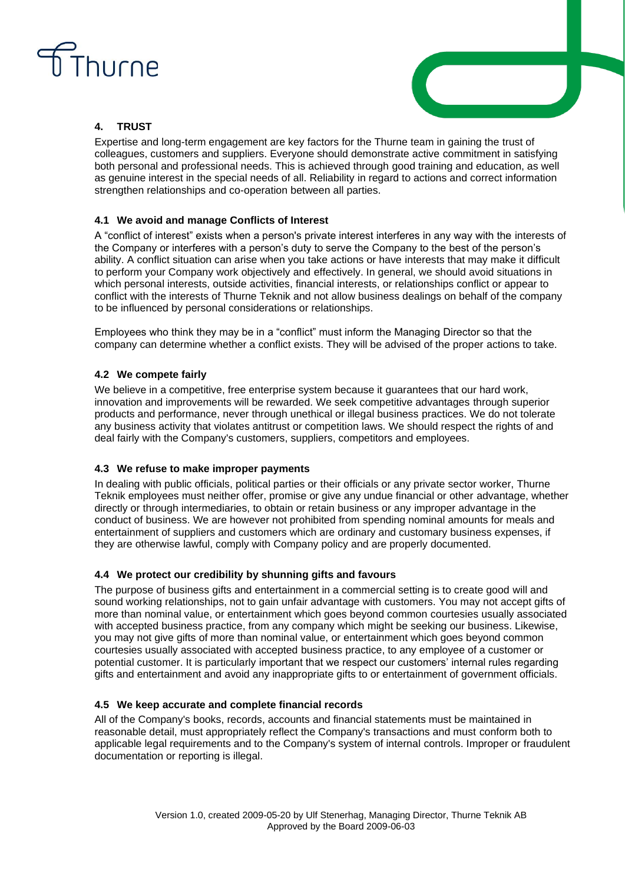



## **4. TRUST**

Expertise and long-term engagement are key factors for the Thurne team in gaining the trust of colleagues, customers and suppliers. Everyone should demonstrate active commitment in satisfying both personal and professional needs. This is achieved through good training and education, as well as genuine interest in the special needs of all. Reliability in regard to actions and correct information strengthen relationships and co-operation between all parties.

## **4.1 We avoid and manage Conflicts of Interest**

A "conflict of interest" exists when a person's private interest interferes in any way with the interests of the Company or interferes with a person's duty to serve the Company to the best of the person's ability. A conflict situation can arise when you take actions or have interests that may make it difficult to perform your Company work objectively and effectively. In general, we should avoid situations in which personal interests, outside activities, financial interests, or relationships conflict or appear to conflict with the interests of Thurne Teknik and not allow business dealings on behalf of the company to be influenced by personal considerations or relationships.

Employees who think they may be in a "conflict" must inform the Managing Director so that the company can determine whether a conflict exists. They will be advised of the proper actions to take.

## **4.2 We compete fairly**

We believe in a competitive, free enterprise system because it guarantees that our hard work, innovation and improvements will be rewarded. We seek competitive advantages through superior products and performance, never through unethical or illegal business practices. We do not tolerate any business activity that violates antitrust or competition laws. We should respect the rights of and deal fairly with the Company's customers, suppliers, competitors and employees.

## **4.3 We refuse to make improper payments**

In dealing with public officials, political parties or their officials or any private sector worker, Thurne Teknik employees must neither offer, promise or give any undue financial or other advantage, whether directly or through intermediaries, to obtain or retain business or any improper advantage in the conduct of business. We are however not prohibited from spending nominal amounts for meals and entertainment of suppliers and customers which are ordinary and customary business expenses, if they are otherwise lawful, comply with Company policy and are properly documented.

## **4.4 We protect our credibility by shunning gifts and favours**

The purpose of business gifts and entertainment in a commercial setting is to create good will and sound working relationships, not to gain unfair advantage with customers. You may not accept gifts of more than nominal value, or entertainment which goes beyond common courtesies usually associated with accepted business practice, from any company which might be seeking our business. Likewise, you may not give gifts of more than nominal value, or entertainment which goes beyond common courtesies usually associated with accepted business practice, to any employee of a customer or potential customer. It is particularly important that we respect our customers' internal rules regarding gifts and entertainment and avoid any inappropriate gifts to or entertainment of government officials.

## **4.5 We keep accurate and complete financial records**

All of the Company's books, records, accounts and financial statements must be maintained in reasonable detail, must appropriately reflect the Company's transactions and must conform both to applicable legal requirements and to the Company's system of internal controls. Improper or fraudulent documentation or reporting is illegal.